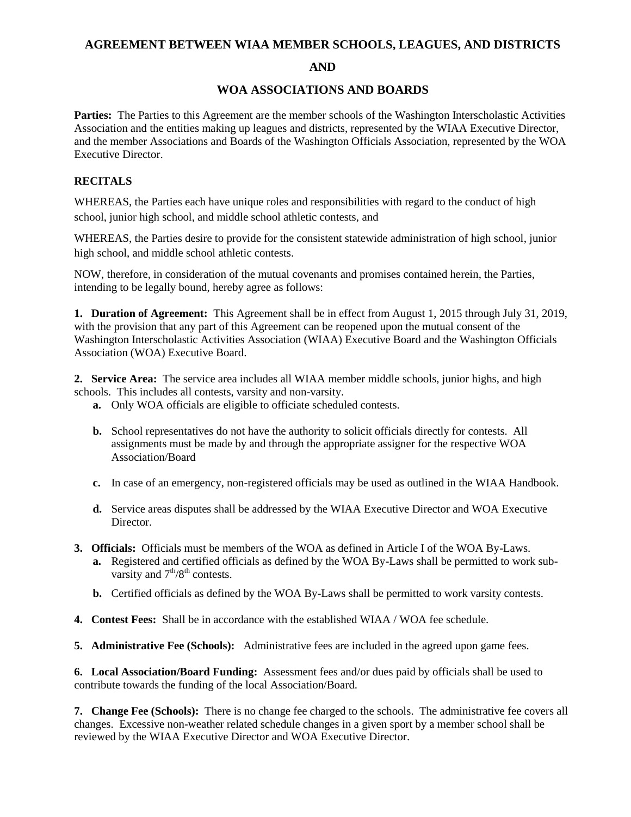## **AGREEMENT BETWEEN WIAA MEMBER SCHOOLS, LEAGUES, AND DISTRICTS**

#### **AND**

## **WOA ASSOCIATIONS AND BOARDS**

**Parties:** The Parties to this Agreement are the member schools of the Washington Interscholastic Activities Association and the entities making up leagues and districts, represented by the WIAA Executive Director, and the member Associations and Boards of the Washington Officials Association, represented by the WOA Executive Director.

# **RECITALS**

WHEREAS, the Parties each have unique roles and responsibilities with regard to the conduct of high school, junior high school, and middle school athletic contests, and

WHEREAS, the Parties desire to provide for the consistent statewide administration of high school, junior high school, and middle school athletic contests.

NOW, therefore, in consideration of the mutual covenants and promises contained herein, the Parties, intending to be legally bound, hereby agree as follows:

**1. Duration of Agreement:** This Agreement shall be in effect from August 1, 2015 through July 31, 2019, with the provision that any part of this Agreement can be reopened upon the mutual consent of the Washington Interscholastic Activities Association (WIAA) Executive Board and the Washington Officials Association (WOA) Executive Board.

**2. Service Area:** The service area includes all WIAA member middle schools, junior highs, and high schools. This includes all contests, varsity and non-varsity.

- **a.** Only WOA officials are eligible to officiate scheduled contests.
- **b.** School representatives do not have the authority to solicit officials directly for contests. All assignments must be made by and through the appropriate assigner for the respective WOA Association/Board
- **c.** In case of an emergency, non-registered officials may be used as outlined in the WIAA Handbook.
- **d.** Service areas disputes shall be addressed by the WIAA Executive Director and WOA Executive Director.
- **3. Officials:** Officials must be members of the WOA as defined in Article I of the WOA By-Laws.
	- **a.** Registered and certified officials as defined by the WOA By-Laws shall be permitted to work subvarsity and  $7<sup>th</sup>/8<sup>th</sup>$  contests.
	- **b.** Certified officials as defined by the WOA By-Laws shall be permitted to work varsity contests.
- **4. Contest Fees:** Shall be in accordance with the established WIAA / WOA fee schedule.
- **5. Administrative Fee (Schools):** Administrative fees are included in the agreed upon game fees.

**6. Local Association/Board Funding:** Assessment fees and/or dues paid by officials shall be used to contribute towards the funding of the local Association/Board.

**7. Change Fee (Schools):** There is no change fee charged to the schools. The administrative fee covers all changes. Excessive non-weather related schedule changes in a given sport by a member school shall be reviewed by the WIAA Executive Director and WOA Executive Director.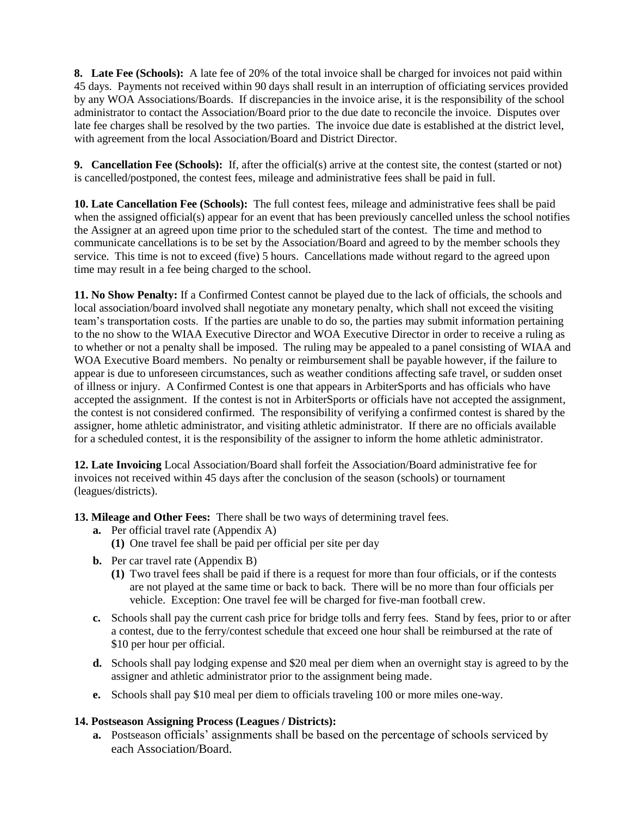**8. Late Fee (Schools):** A late fee of 20% of the total invoice shall be charged for invoices not paid within 45 days. Payments not received within 90 days shall result in an interruption of officiating services provided by any WOA Associations/Boards. If discrepancies in the invoice arise, it is the responsibility of the school administrator to contact the Association/Board prior to the due date to reconcile the invoice. Disputes over late fee charges shall be resolved by the two parties. The invoice due date is established at the district level, with agreement from the local Association/Board and District Director.

**9. Cancellation Fee (Schools):** If, after the official(s) arrive at the contest site, the contest (started or not) is cancelled/postponed, the contest fees, mileage and administrative fees shall be paid in full.

**10. Late Cancellation Fee (Schools):** The full contest fees, mileage and administrative fees shall be paid when the assigned official(s) appear for an event that has been previously cancelled unless the school notifies the Assigner at an agreed upon time prior to the scheduled start of the contest. The time and method to communicate cancellations is to be set by the Association/Board and agreed to by the member schools they service. This time is not to exceed (five) 5 hours. Cancellations made without regard to the agreed upon time may result in a fee being charged to the school.

**11. No Show Penalty:** If a Confirmed Contest cannot be played due to the lack of officials, the schools and local association/board involved shall negotiate any monetary penalty, which shall not exceed the visiting team's transportation costs. If the parties are unable to do so, the parties may submit information pertaining to the no show to the WIAA Executive Director and WOA Executive Director in order to receive a ruling as to whether or not a penalty shall be imposed. The ruling may be appealed to a panel consisting of WIAA and WOA Executive Board members. No penalty or reimbursement shall be payable however, if the failure to appear is due to unforeseen circumstances, such as weather conditions affecting safe travel, or sudden onset of illness or injury. A Confirmed Contest is one that appears in ArbiterSports and has officials who have accepted the assignment. If the contest is not in ArbiterSports or officials have not accepted the assignment, the contest is not considered confirmed. The responsibility of verifying a confirmed contest is shared by the assigner, home athletic administrator, and visiting athletic administrator. If there are no officials available for a scheduled contest, it is the responsibility of the assigner to inform the home athletic administrator.

**12. Late Invoicing** Local Association/Board shall forfeit the Association/Board administrative fee for invoices not received within 45 days after the conclusion of the season (schools) or tournament (leagues/districts).

**13. Mileage and Other Fees:** There shall be two ways of determining travel fees.

- **a.** Per official travel rate (Appendix A)
	- **(1)** One travel fee shall be paid per official per site per day
- **b.** Per car travel rate (Appendix B)
	- **(1)** Two travel fees shall be paid if there is a request for more than four officials, or if the contests are not played at the same time or back to back. There will be no more than four officials per vehicle. Exception: One travel fee will be charged for five-man football crew.
- **c.** Schools shall pay the current cash price for bridge tolls and ferry fees. Stand by fees, prior to or after a contest, due to the ferry/contest schedule that exceed one hour shall be reimbursed at the rate of \$10 per hour per official.
- **d.** Schools shall pay lodging expense and \$20 meal per diem when an overnight stay is agreed to by the assigner and athletic administrator prior to the assignment being made.
- **e.** Schools shall pay \$10 meal per diem to officials traveling 100 or more miles one-way.

## **14. Postseason Assigning Process (Leagues / Districts):**

**a.** Postseason officials' assignments shall be based on the percentage of schools serviced by each Association/Board.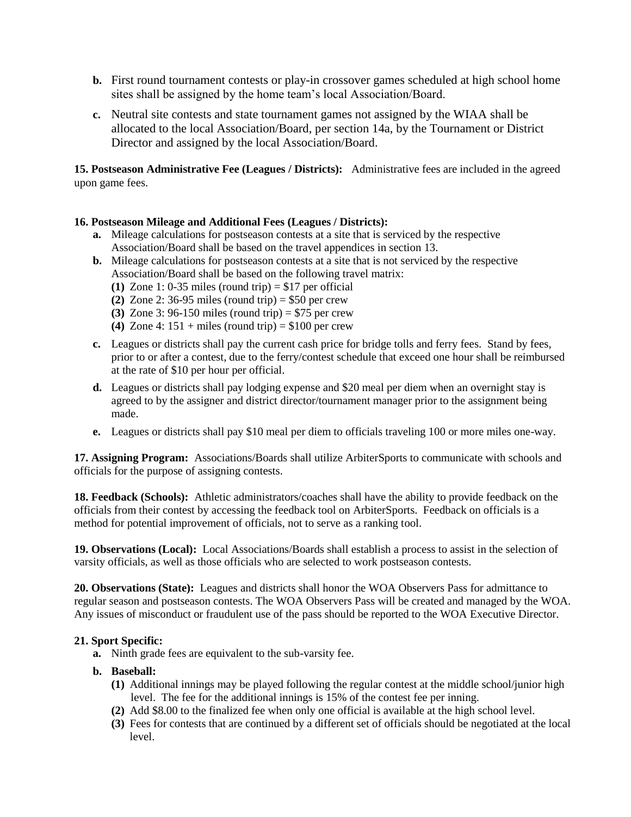- **b.** First round tournament contests or play-in crossover games scheduled at high school home sites shall be assigned by the home team's local Association/Board.
- **c.** Neutral site contests and state tournament games not assigned by the WIAA shall be allocated to the local Association/Board, per section 14a, by the Tournament or District Director and assigned by the local Association/Board.

**15. Postseason Administrative Fee (Leagues / Districts):** Administrative fees are included in the agreed upon game fees.

#### **16. Postseason Mileage and Additional Fees (Leagues / Districts):**

- **a.** Mileage calculations for postseason contests at a site that is serviced by the respective Association/Board shall be based on the travel appendices in section 13.
- **b.** Mileage calculations for postseason contests at a site that is not serviced by the respective Association/Board shall be based on the following travel matrix:
	- (1) Zone 1: 0-35 miles (round trip)  $= $17$  per official
	- **(2)** Zone 2: 36-95 miles (round trip) = \$50 per crew
	- **(3)** Zone 3: 96-150 miles (round trip) = \$75 per crew
	- (4) Zone 4:  $151 + \text{miles}$  (round trip) = \$100 per crew
- **c.** Leagues or districts shall pay the current cash price for bridge tolls and ferry fees. Stand by fees, prior to or after a contest, due to the ferry/contest schedule that exceed one hour shall be reimbursed at the rate of \$10 per hour per official.
- **d.** Leagues or districts shall pay lodging expense and \$20 meal per diem when an overnight stay is agreed to by the assigner and district director/tournament manager prior to the assignment being made.
- **e.** Leagues or districts shall pay \$10 meal per diem to officials traveling 100 or more miles one-way.

**17. Assigning Program:** Associations/Boards shall utilize ArbiterSports to communicate with schools and officials for the purpose of assigning contests.

**18. Feedback (Schools):** Athletic administrators/coaches shall have the ability to provide feedback on the officials from their contest by accessing the feedback tool on ArbiterSports. Feedback on officials is a method for potential improvement of officials, not to serve as a ranking tool.

**19. Observations (Local):** Local Associations/Boards shall establish a process to assist in the selection of varsity officials, as well as those officials who are selected to work postseason contests.

**20. Observations (State):** Leagues and districts shall honor the WOA Observers Pass for admittance to regular season and postseason contests. The WOA Observers Pass will be created and managed by the WOA. Any issues of misconduct or fraudulent use of the pass should be reported to the WOA Executive Director.

#### **21. Sport Specific:**

- **a.** Ninth grade fees are equivalent to the sub-varsity fee.
- **b. Baseball:**
	- **(1)** Additional innings may be played following the regular contest at the middle school/junior high level. The fee for the additional innings is 15% of the contest fee per inning.
	- **(2)** Add \$8.00 to the finalized fee when only one official is available at the high school level.
	- **(3)** Fees for contests that are continued by a different set of officials should be negotiated at the local level.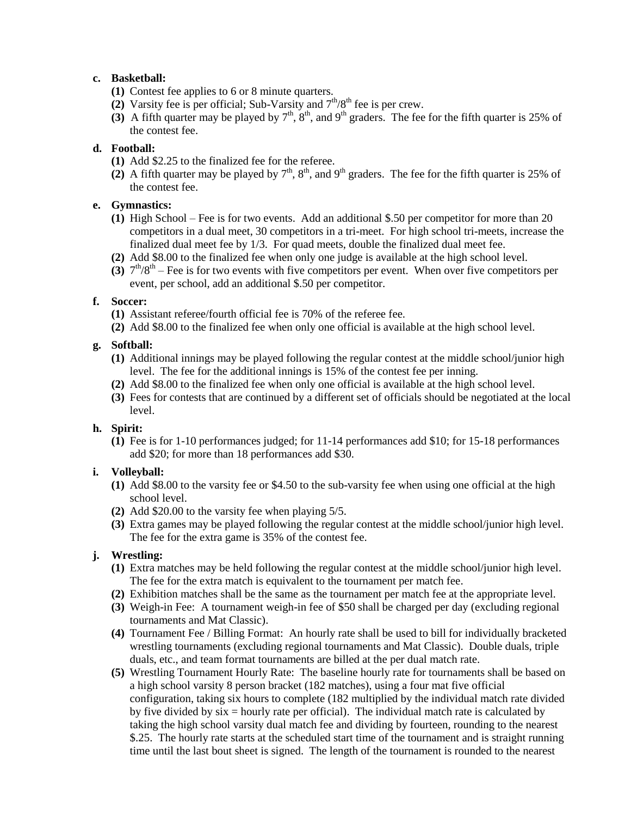## **c. Basketball:**

- **(1)** Contest fee applies to 6 or 8 minute quarters.
- (2) Varsity fee is per official; Sub-Varsity and  $7<sup>th</sup>/8<sup>th</sup>$  fee is per crew.
- (3) A fifth quarter may be played by  $7<sup>th</sup>$ ,  $8<sup>th</sup>$ , and  $9<sup>th</sup>$  graders. The fee for the fifth quarter is 25% of the contest fee.

## **d. Football:**

- **(1)** Add \$2.25 to the finalized fee for the referee.
- (2) A fifth quarter may be played by  $7<sup>th</sup>$ ,  $8<sup>th</sup>$ , and  $9<sup>th</sup>$  graders. The fee for the fifth quarter is 25% of the contest fee.

## **e. Gymnastics:**

- **(1)** High School Fee is for two events. Add an additional \$.50 per competitor for more than 20 competitors in a dual meet, 30 competitors in a tri-meet. For high school tri-meets, increase the finalized dual meet fee by 1/3. For quad meets, double the finalized dual meet fee.
- **(2)** Add \$8.00 to the finalized fee when only one judge is available at the high school level.
- (3)  $7<sup>th</sup>/8<sup>th</sup> -$  Fee is for two events with five competitors per event. When over five competitors per event, per school, add an additional \$.50 per competitor.

## **f. Soccer:**

- **(1)** Assistant referee/fourth official fee is 70% of the referee fee.
- **(2)** Add \$8.00 to the finalized fee when only one official is available at the high school level.

## **g. Softball:**

- **(1)** Additional innings may be played following the regular contest at the middle school/junior high level. The fee for the additional innings is 15% of the contest fee per inning.
- **(2)** Add \$8.00 to the finalized fee when only one official is available at the high school level.
- **(3)** Fees for contests that are continued by a different set of officials should be negotiated at the local level.

#### **h. Spirit:**

**(1)** Fee is for 1-10 performances judged; for 11-14 performances add \$10; for 15-18 performances add \$20; for more than 18 performances add \$30.

## **i. Volleyball:**

- **(1)** Add \$8.00 to the varsity fee or \$4.50 to the sub-varsity fee when using one official at the high school level.
- **(2)** Add \$20.00 to the varsity fee when playing 5/5.
- **(3)** Extra games may be played following the regular contest at the middle school/junior high level. The fee for the extra game is 35% of the contest fee.

## **j. Wrestling:**

- **(1)** Extra matches may be held following the regular contest at the middle school/junior high level. The fee for the extra match is equivalent to the tournament per match fee.
- **(2)** Exhibition matches shall be the same as the tournament per match fee at the appropriate level.
- **(3)** Weigh-in Fee: A tournament weigh-in fee of \$50 shall be charged per day (excluding regional tournaments and Mat Classic).
- **(4)** Tournament Fee / Billing Format: An hourly rate shall be used to bill for individually bracketed wrestling tournaments (excluding regional tournaments and Mat Classic). Double duals, triple duals, etc., and team format tournaments are billed at the per dual match rate.
- **(5)** Wrestling Tournament Hourly Rate: The baseline hourly rate for tournaments shall be based on a high school varsity 8 person bracket (182 matches), using a four mat five official configuration, taking six hours to complete (182 multiplied by the individual match rate divided by five divided by  $\sin x =$  hourly rate per official). The individual match rate is calculated by taking the high school varsity dual match fee and dividing by fourteen, rounding to the nearest \$.25. The hourly rate starts at the scheduled start time of the tournament and is straight running time until the last bout sheet is signed. The length of the tournament is rounded to the nearest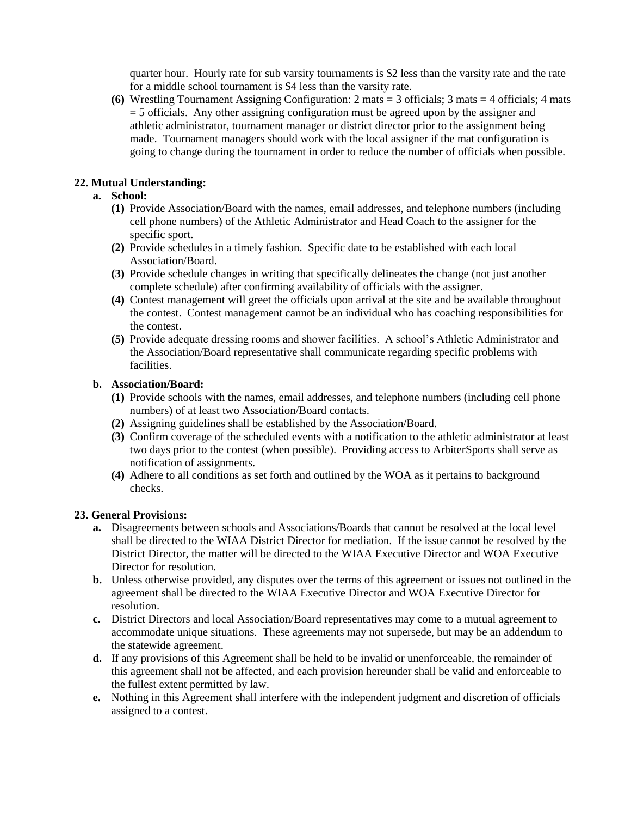quarter hour. Hourly rate for sub varsity tournaments is \$2 less than the varsity rate and the rate for a middle school tournament is \$4 less than the varsity rate.

**(6)** Wrestling Tournament Assigning Configuration: 2 mats = 3 officials; 3 mats = 4 officials; 4 mats = 5 officials. Any other assigning configuration must be agreed upon by the assigner and athletic administrator, tournament manager or district director prior to the assignment being made. Tournament managers should work with the local assigner if the mat configuration is going to change during the tournament in order to reduce the number of officials when possible.

## **22. Mutual Understanding:**

## **a. School:**

- **(1)** Provide Association/Board with the names, email addresses, and telephone numbers (including cell phone numbers) of the Athletic Administrator and Head Coach to the assigner for the specific sport.
- **(2)** Provide schedules in a timely fashion. Specific date to be established with each local Association/Board.
- **(3)** Provide schedule changes in writing that specifically delineates the change (not just another complete schedule) after confirming availability of officials with the assigner.
- **(4)** Contest management will greet the officials upon arrival at the site and be available throughout the contest. Contest management cannot be an individual who has coaching responsibilities for the contest.
- **(5)** Provide adequate dressing rooms and shower facilities. A school's Athletic Administrator and the Association/Board representative shall communicate regarding specific problems with facilities.

#### **b. Association/Board:**

- **(1)** Provide schools with the names, email addresses, and telephone numbers (including cell phone numbers) of at least two Association/Board contacts.
- **(2)** Assigning guidelines shall be established by the Association/Board.
- **(3)** Confirm coverage of the scheduled events with a notification to the athletic administrator at least two days prior to the contest (when possible). Providing access to ArbiterSports shall serve as notification of assignments.
- **(4)** Adhere to all conditions as set forth and outlined by the WOA as it pertains to background checks.

#### **23. General Provisions:**

- **a.** Disagreements between schools and Associations/Boards that cannot be resolved at the local level shall be directed to the WIAA District Director for mediation. If the issue cannot be resolved by the District Director, the matter will be directed to the WIAA Executive Director and WOA Executive Director for resolution.
- **b.** Unless otherwise provided, any disputes over the terms of this agreement or issues not outlined in the agreement shall be directed to the WIAA Executive Director and WOA Executive Director for resolution.
- **c.** District Directors and local Association/Board representatives may come to a mutual agreement to accommodate unique situations. These agreements may not supersede, but may be an addendum to the statewide agreement.
- **d.** If any provisions of this Agreement shall be held to be invalid or unenforceable, the remainder of this agreement shall not be affected, and each provision hereunder shall be valid and enforceable to the fullest extent permitted by law.
- **e.** Nothing in this Agreement shall interfere with the independent judgment and discretion of officials assigned to a contest.